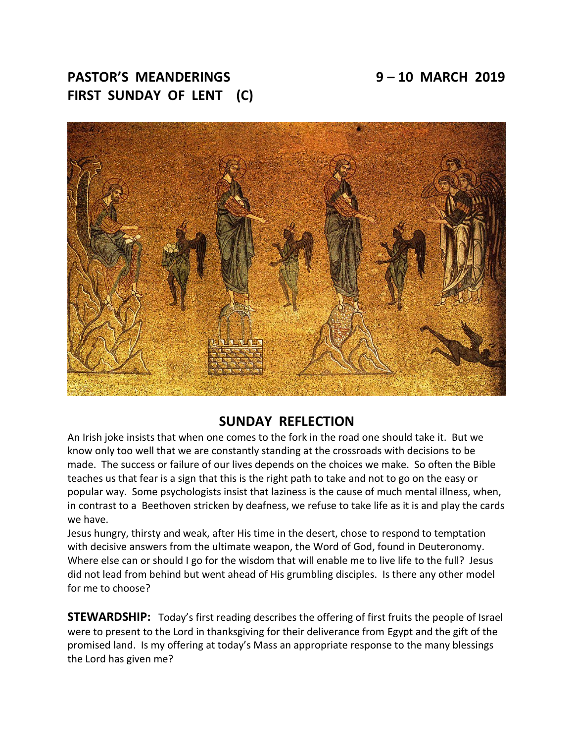# **PASTOR'S MEANDERINGS 9 – 10 MARCH 2019 FIRST SUNDAY OF LENT (C)**



# **SUNDAY REFLECTION**

An Irish joke insists that when one comes to the fork in the road one should take it. But we know only too well that we are constantly standing at the crossroads with decisions to be made. The success or failure of our lives depends on the choices we make. So often the Bible teaches us that fear is a sign that this is the right path to take and not to go on the easy or popular way. Some psychologists insist that laziness is the cause of much mental illness, when, in contrast to a Beethoven stricken by deafness, we refuse to take life as it is and play the cards we have.

Jesus hungry, thirsty and weak, after His time in the desert, chose to respond to temptation with decisive answers from the ultimate weapon, the Word of God, found in Deuteronomy. Where else can or should I go for the wisdom that will enable me to live life to the full? Jesus did not lead from behind but went ahead of His grumbling disciples. Is there any other model for me to choose?

**STEWARDSHIP:** Today's first reading describes the offering of first fruits the people of Israel were to present to the Lord in thanksgiving for their deliverance from Egypt and the gift of the promised land. Is my offering at today's Mass an appropriate response to the many blessings the Lord has given me?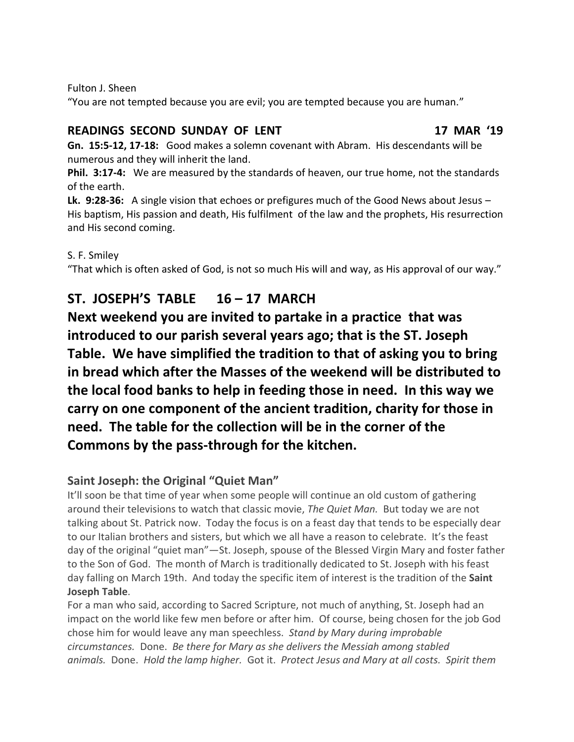Fulton J. Sheen

"You are not tempted because you are evil; you are tempted because you are human."

## **READINGS SECOND SUNDAY OF LENT 17 MAR '19**

**Gn. 15:5-12, 17-18:** Good makes a solemn covenant with Abram. His descendants will be numerous and they will inherit the land.

**Phil. 3:17-4:** We are measured by the standards of heaven, our true home, not the standards of the earth.

**Lk. 9:28-36:** A single vision that echoes or prefigures much of the Good News about Jesus – His baptism, His passion and death, His fulfilment of the law and the prophets, His resurrection and His second coming.

S. F. Smiley

"That which is often asked of God, is not so much His will and way, as His approval of our way."

# **ST. JOSEPH'S TABLE 16 – 17 MARCH**

**Next weekend you are invited to partake in a practice that was introduced to our parish several years ago; that is the ST. Joseph Table. We have simplified the tradition to that of asking you to bring in bread which after the Masses of the weekend will be distributed to the local food banks to help in feeding those in need. In this way we carry on one component of the ancient tradition, charity for those in need. The table for the collection will be in the corner of the Commons by the pass-through for the kitchen.**

# **Saint Joseph: the Original "Quiet Man"**

It'll soon be that time of year when some people will continue an old custom of gathering around their televisions to watch that classic movie, *The Quiet Man.* But today we are not talking about St. Patrick now. Today the focus is on a feast day that tends to be especially dear to our Italian brothers and sisters, but which we all have a reason to celebrate. It's the feast day of the original "quiet man"—St. Joseph, spouse of the Blessed Virgin Mary and foster father to the Son of God. The month of March is traditionally dedicated to St. Joseph with his feast day falling on March 19th. And today the specific item of interest is the tradition of the **Saint Joseph Table**.

For a man who said, according to Sacred Scripture, not much of anything, St. Joseph had an impact on the world like few men before or after him. Of course, being chosen for the job God chose him for would leave any man speechless. *Stand by Mary during improbable circumstances.* Done. *Be there for Mary as she delivers the Messiah among stabled animals.* Done. *Hold the lamp higher.* Got it. *Protect Jesus and Mary at all costs. Spirit them*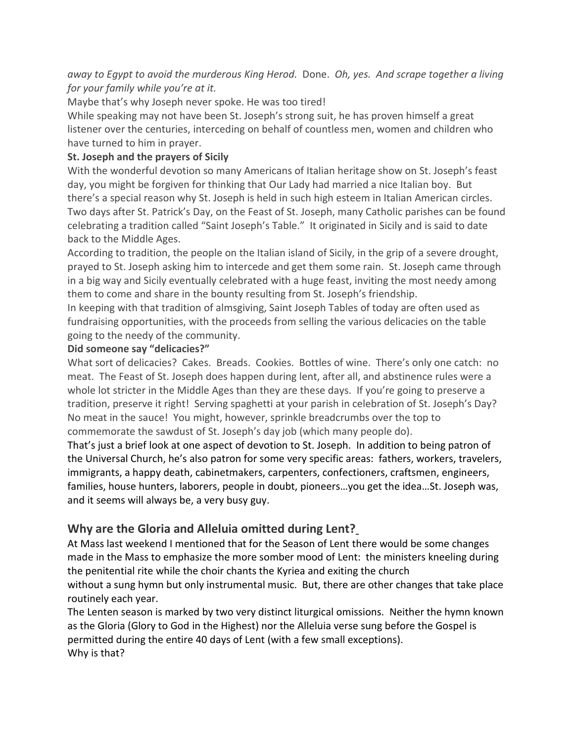*away to Egypt to avoid the murderous King Herod.* Done. *Oh, yes. And scrape together a living for your family while you're at it.*

Maybe that's why Joseph never spoke. He was too tired!

While speaking may not have been St. Joseph's strong suit, he has proven himself a great listener over the centuries, interceding on behalf of countless men, women and children who have turned to him in prayer.

### **St. Joseph and the prayers of Sicily**

With the wonderful devotion so many Americans of Italian heritage show on St. Joseph's feast day, you might be forgiven for thinking that Our Lady had married a nice Italian boy. But there's a special reason why St. Joseph is held in such high esteem in Italian American circles. Two days after St. Patrick's Day, on the Feast of St. Joseph, many Catholic parishes can be found celebrating a tradition called "Saint Joseph's Table." It originated in Sicily and is said to date back to the Middle Ages.

According to tradition, the people on the Italian island of Sicily, in the grip of a severe drought, prayed to St. Joseph asking him to intercede and get them some rain. St. Joseph came through in a big way and Sicily eventually celebrated with a huge feast, inviting the most needy among them to come and share in the bounty resulting from St. Joseph's friendship.

In keeping with that tradition of almsgiving, Saint Joseph Tables of today are often used as fundraising opportunities, with the proceeds from selling the various delicacies on the table going to the needy of the community.

#### **Did someone say "delicacies?"**

What sort of delicacies? Cakes. Breads. Cookies. Bottles of wine. There's only one catch: no meat. The Feast of St. Joseph does happen during lent, after all, and abstinence rules were a whole lot stricter in the Middle Ages than they are these days. If you're going to preserve a tradition, preserve it right! Serving spaghetti at your parish in celebration of St. Joseph's Day? No meat in the sauce! You might, however, sprinkle breadcrumbs over the top to commemorate the sawdust of St. Joseph's day job (which many people do).

That's just a brief look at one aspect of devotion to St. Joseph. In addition to being patron of the Universal Church, he's also patron for some very specific areas: fathers, workers, travelers, immigrants, a happy death, cabinetmakers, carpenters, confectioners, craftsmen, engineers, families, house hunters, laborers, people in doubt, pioneers…you get the idea…St. Joseph was, and it seems will always be, a very busy guy.

## **Why are the Gloria and Alleluia omitted during Lent?**

At Mass last weekend I mentioned that for the Season of Lent there would be some changes made in the Mass to emphasize the more somber mood of Lent: the ministers kneeling during the penitential rite while the choir chants the Kyriea and exiting the church without a sung hymn but only instrumental music. But, there are other changes that take place

routinely each year.

The Lenten season is marked by two very distinct liturgical omissions. Neither the hymn known as the Gloria (Glory to God in the Highest) nor the Alleluia verse sung before the Gospel is permitted during the entire 40 days of Lent (with a few small exceptions). Why is that?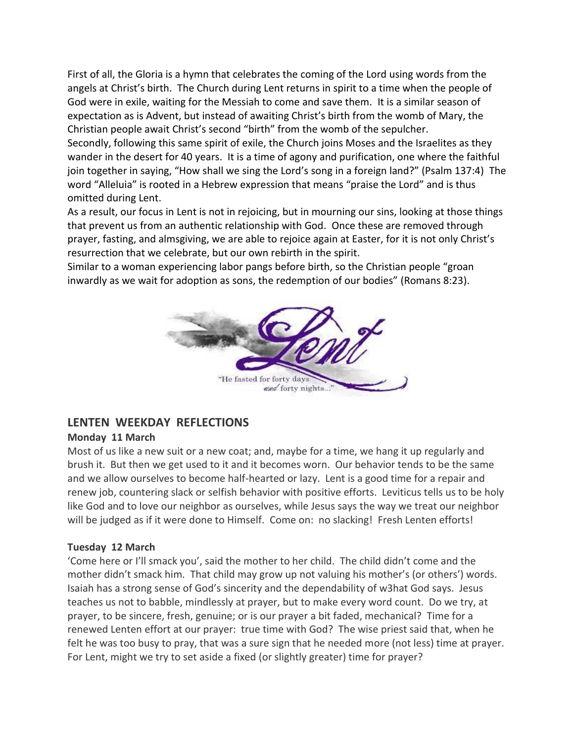First of all, the Gloria is a hymn that celebrates the coming of the Lord using words from the angels at Christ's birth. The Church during Lent returns in spirit to a time when the people of God were in exile, waiting for the Messiah to come and save them. It is a similar season of expectation as is Advent, but instead of awaiting Christ's birth from the womb of Mary, the Christian people await Christ's second "birth" from the womb of the sepulcher.

Secondly, following this same spirit of exile, the Church joins Moses and the Israelites as they wander in the desert for 40 years. It is a time of agony and purification, one where the faithful join together in saying, "How shall we sing the Lord's song in a foreign land?" (Psalm 137:4) The word "Alleluia" is rooted in a Hebrew expression that means "praise the Lord" and is thus omitted during Lent.

As a result, our focus in Lent is not in rejoicing, but in mourning our sins, looking at those things that prevent us from an authentic relationship with God. Once these are removed through prayer, fasting, and almsgiving, we are able to rejoice again at Easter, for it is not only Christ's resurrection that we celebrate, but our own rebirth in the spirit.

Similar to a woman experiencing labor pangs before birth, so the Christian people "groan inwardly as we wait for adoption as sons, the redemption of our bodies" (Romans 8:23).



## **LENTEN WEEKDAY REFLECTIONS**

#### **Monday 11 March**

Most of us like a new suit or a new coat; and, maybe for a time, we hang it up regularly and brush it. But then we get used to it and it becomes worn. Our behavior tends to be the same and we allow ourselves to become half-hearted or lazy. Lent is a good time for a repair and renew job, countering slack or selfish behavior with positive efforts. Leviticus tells us to be holy like God and to love our neighbor as ourselves, while Jesus says the way we treat our neighbor will be judged as if it were done to Himself. Come on: no slacking! Fresh Lenten efforts!

#### **Tuesday 12 March**

'Come here or I'll smack you', said the mother to her child. The child didn't come and the mother didn't smack him. That child may grow up not valuing his mother's (or others') words. Isaiah has a strong sense of God's sincerity and the dependability of w3hat God says. Jesus teaches us not to babble, mindlessly at prayer, but to make every word count. Do we try, at prayer, to be sincere, fresh, genuine; or is our prayer a bit faded, mechanical? Time for a renewed Lenten effort at our prayer: true time with God? The wise priest said that, when he felt he was too busy to pray, that was a sure sign that he needed more (not less) time at prayer. For Lent, might we try to set aside a fixed (or slightly greater) time for prayer?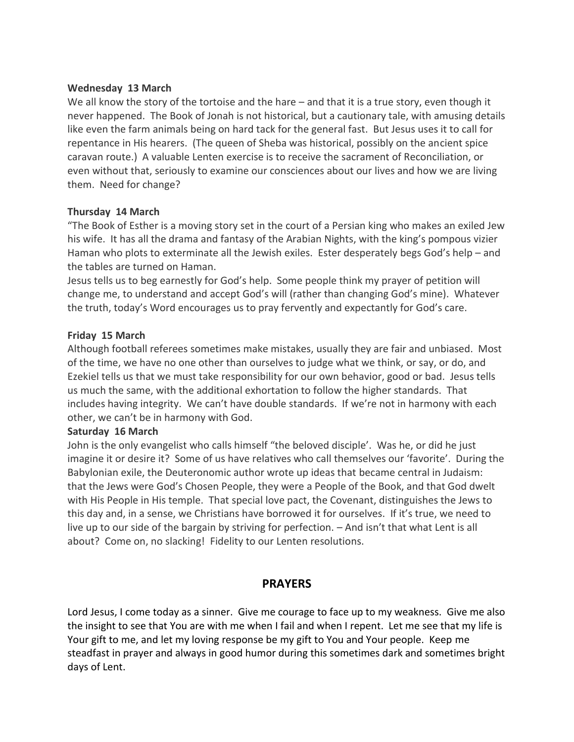#### **Wednesday 13 March**

We all know the story of the tortoise and the hare – and that it is a true story, even though it never happened. The Book of Jonah is not historical, but a cautionary tale, with amusing details like even the farm animals being on hard tack for the general fast. But Jesus uses it to call for repentance in His hearers. (The queen of Sheba was historical, possibly on the ancient spice caravan route.) A valuable Lenten exercise is to receive the sacrament of Reconciliation, or even without that, seriously to examine our consciences about our lives and how we are living them. Need for change?

#### **Thursday 14 March**

"The Book of Esther is a moving story set in the court of a Persian king who makes an exiled Jew his wife. It has all the drama and fantasy of the Arabian Nights, with the king's pompous vizier Haman who plots to exterminate all the Jewish exiles. Ester desperately begs God's help – and the tables are turned on Haman.

Jesus tells us to beg earnestly for God's help. Some people think my prayer of petition will change me, to understand and accept God's will (rather than changing God's mine). Whatever the truth, today's Word encourages us to pray fervently and expectantly for God's care.

#### **Friday 15 March**

Although football referees sometimes make mistakes, usually they are fair and unbiased. Most of the time, we have no one other than ourselves to judge what we think, or say, or do, and Ezekiel tells us that we must take responsibility for our own behavior, good or bad. Jesus tells us much the same, with the additional exhortation to follow the higher standards. That includes having integrity. We can't have double standards. If we're not in harmony with each other, we can't be in harmony with God.

#### **Saturday 16 March**

John is the only evangelist who calls himself "the beloved disciple'. Was he, or did he just imagine it or desire it? Some of us have relatives who call themselves our 'favorite'. During the Babylonian exile, the Deuteronomic author wrote up ideas that became central in Judaism: that the Jews were God's Chosen People, they were a People of the Book, and that God dwelt with His People in His temple. That special love pact, the Covenant, distinguishes the Jews to this day and, in a sense, we Christians have borrowed it for ourselves. If it's true, we need to live up to our side of the bargain by striving for perfection. – And isn't that what Lent is all about? Come on, no slacking! Fidelity to our Lenten resolutions.

#### **PRAYERS**

Lord Jesus, I come today as a sinner. Give me courage to face up to my weakness. Give me also the insight to see that You are with me when I fail and when I repent. Let me see that my life is Your gift to me, and let my loving response be my gift to You and Your people. Keep me steadfast in prayer and always in good humor during this sometimes dark and sometimes bright days of Lent.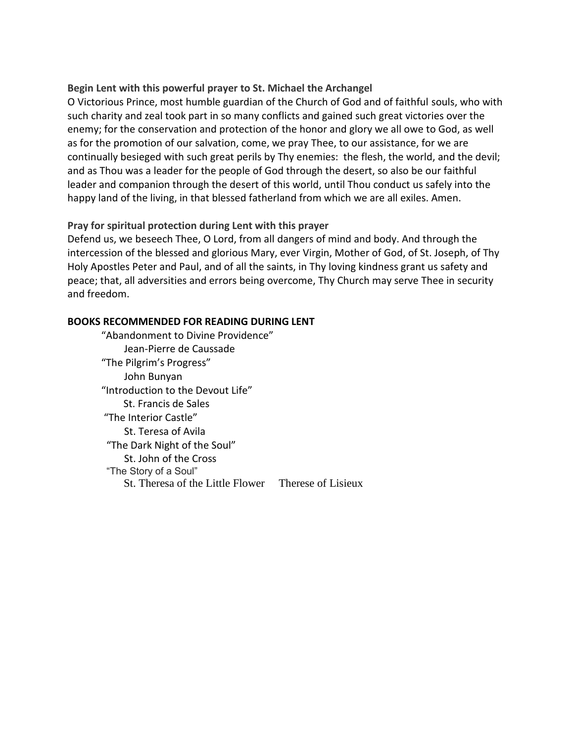#### **Begin Lent with this powerful prayer to St. Michael the Archangel**

O Victorious Prince, most humble guardian of the Church of God and of faithful souls, who with such charity and zeal took part in so many conflicts and gained such great victories over the enemy; for the conservation and protection of the honor and glory we all owe to God, as well as for the promotion of our salvation, come, we pray Thee, to our assistance, for we are continually besieged with such great perils by Thy enemies: the flesh, the world, and the devil; and as Thou was a leader for the people of God through the desert, so also be our faithful leader and companion through the desert of this world, until Thou conduct us safely into the happy land of the living, in that blessed fatherland from which we are all exiles. Amen.

#### **Pray for spiritual protection during Lent with this prayer**

Defend us, we beseech Thee, O Lord, from all dangers of mind and body. And through the intercession of the blessed and glorious Mary, ever Virgin, Mother of God, of St. Joseph, of Thy Holy Apostles Peter and Paul, and of all the saints, in Thy loving kindness grant us safety and peace; that, all adversities and errors being overcome, Thy Church may serve Thee in security and freedom.

#### **BOOKS RECOMMENDED FOR READING DURING LENT**

"Abandonment to Divine Providence" Jean-Pierre de Caussade "The Pilgrim's Progress" John Bunyan "Introduction to the Devout Life" St. Francis de Sales "The Interior Castle" St. Teresa of Avila "The Dark Night of the Soul" St. John of the Cross "The Story of a Soul" St. Theresa of the Little Flower Therese of Lisieux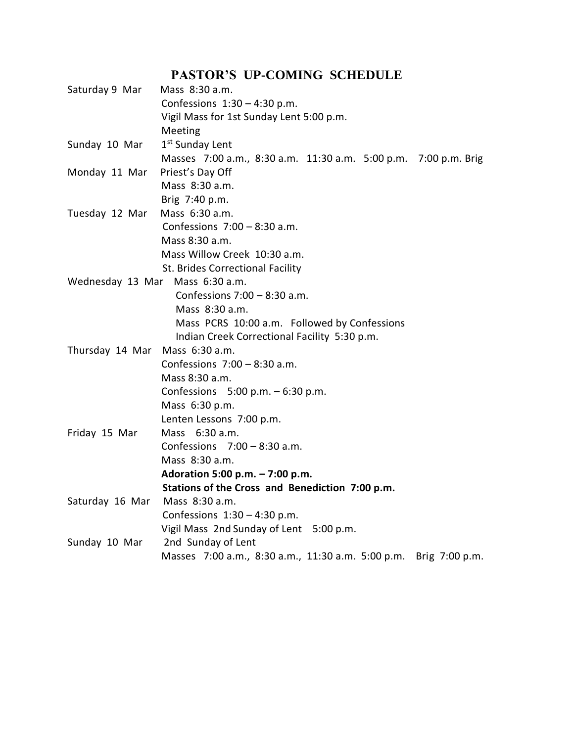# **PASTOR'S UP-COMING SCHEDULE**

| Saturday 9 Mar                  | Mass 8:30 a.m.                                                   |
|---------------------------------|------------------------------------------------------------------|
|                                 | Confessions $1:30 - 4:30$ p.m.                                   |
|                                 | Vigil Mass for 1st Sunday Lent 5:00 p.m.                         |
|                                 | Meeting                                                          |
| Sunday 10 Mar                   | 1 <sup>st</sup> Sunday Lent                                      |
|                                 | Masses 7:00 a.m., 8:30 a.m. 11:30 a.m. 5:00 p.m. 7:00 p.m. Brig  |
| Monday 11 Mar                   | Priest's Day Off                                                 |
|                                 | Mass 8:30 a.m.                                                   |
|                                 | Brig 7:40 p.m.                                                   |
| Tuesday 12 Mar                  | Mass 6:30 a.m.                                                   |
|                                 | Confessions $7:00 - 8:30$ a.m.                                   |
|                                 | Mass 8:30 a.m.                                                   |
|                                 | Mass Willow Creek 10:30 a.m.                                     |
|                                 | St. Brides Correctional Facility                                 |
| Wednesday 13 Mar Mass 6:30 a.m. |                                                                  |
|                                 | Confessions $7:00 - 8:30$ a.m.                                   |
|                                 | Mass 8:30 a.m.                                                   |
|                                 | Mass PCRS 10:00 a.m. Followed by Confessions                     |
|                                 | Indian Creek Correctional Facility 5:30 p.m.                     |
| Thursday 14 Mar Mass 6:30 a.m.  |                                                                  |
|                                 | Confessions $7:00 - 8:30$ a.m.                                   |
|                                 | Mass 8:30 a.m.                                                   |
|                                 | Confessions $5:00$ p.m. $-6:30$ p.m.                             |
|                                 | Mass 6:30 p.m.                                                   |
|                                 | Lenten Lessons 7:00 p.m.                                         |
| Friday 15 Mar                   | Mass 6:30 a.m.                                                   |
|                                 | Confessions $7:00 - 8:30$ a.m.                                   |
|                                 | Mass 8:30 a.m.                                                   |
|                                 | Adoration 5:00 p.m. - 7:00 p.m.                                  |
|                                 | Stations of the Cross and Benediction 7:00 p.m.                  |
| Saturday 16 Mar                 | Mass 8:30 a.m.                                                   |
|                                 | Confessions $1:30 - 4:30$ p.m.                                   |
|                                 | Vigil Mass 2nd Sunday of Lent 5:00 p.m.                          |
| Sunday 10 Mar                   | 2nd Sunday of Lent                                               |
|                                 | Masses 7:00 a.m., 8:30 a.m., 11:30 a.m. 5:00 p.m. Brig 7:00 p.m. |